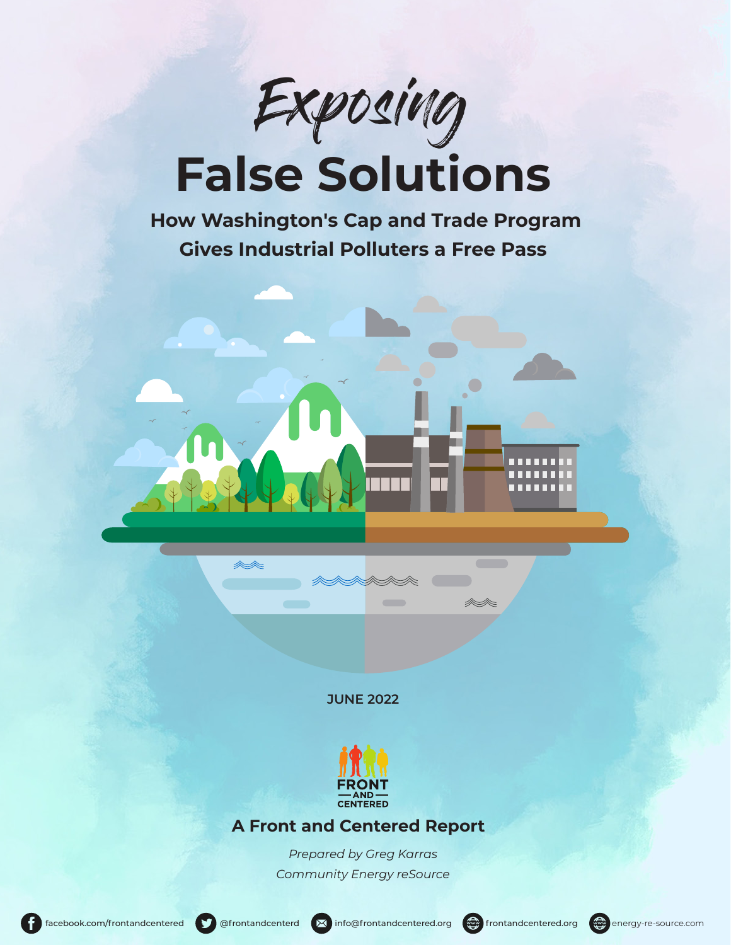

# **False Solutions**

 **How Washington's Cap and Trade Program Gives Industrial Polluters a Free Pass**

**JUNE 2022**



## **A Front and Centered Report**

*Prepared by Greg Karras Community Energy reSource* 



mm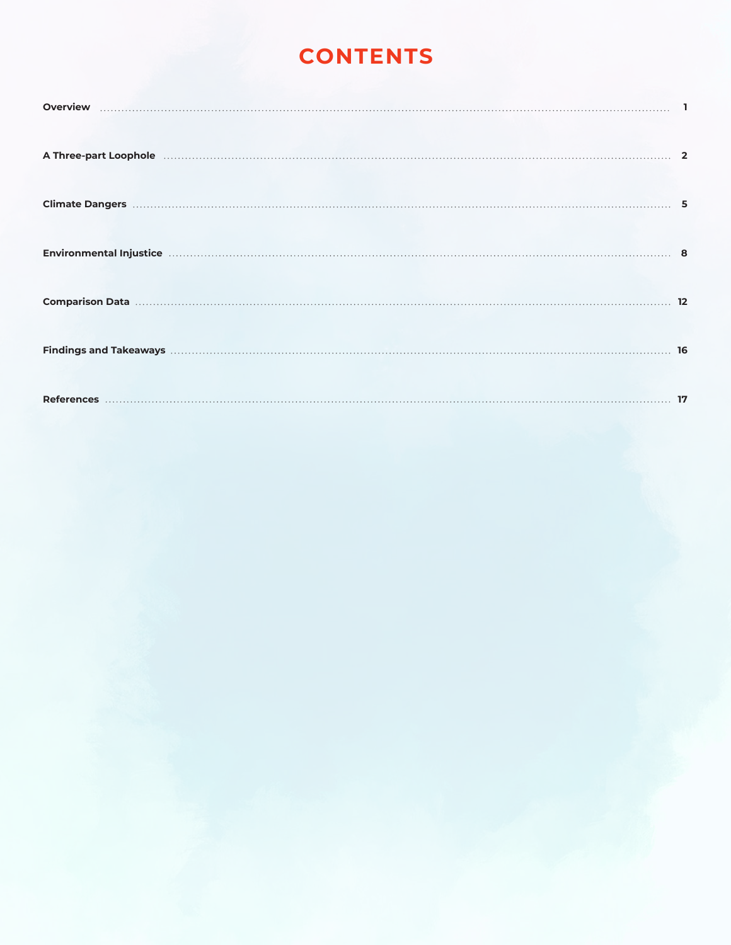# **CONTENTS**

| Comparison Data (2008) 12 |  |
|---------------------------|--|
|                           |  |
|                           |  |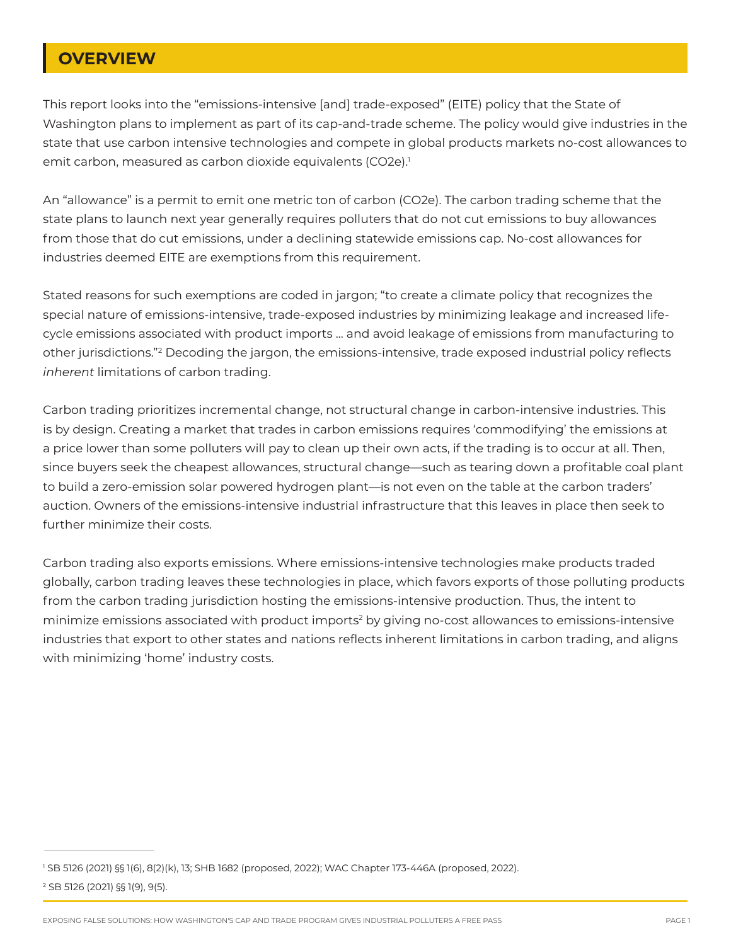## **OVERVIEW**

This report looks into the "emissions-intensive [and] trade-exposed" (EITE) policy that the State of Washington plans to implement as part of its cap-and-trade scheme. The policy would give industries in the state that use carbon intensive technologies and compete in global products markets no-cost allowances to emit carbon, measured as carbon dioxide equivalents (CO2e).<sup>1</sup>

An "allowance" is a permit to emit one metric ton of carbon (CO2e). The carbon trading scheme that the state plans to launch next year generally requires polluters that do not cut emissions to buy allowances from those that do cut emissions, under a declining statewide emissions cap. No-cost allowances for industries deemed EITE are exemptions from this requirement.

Stated reasons for such exemptions are coded in jargon; "to create a climate policy that recognizes the special nature of emissions-intensive, trade-exposed industries by minimizing leakage and increased lifecycle emissions associated with product imports ... and avoid leakage of emissions from manufacturing to other jurisdictions."<sup>2</sup> Decoding the jargon, the emissions-intensive, trade exposed industrial policy reflects *inherent* limitations of carbon trading.

Carbon trading prioritizes incremental change, not structural change in carbon-intensive industries. This is by design. Creating a market that trades in carbon emissions requires 'commodifying' the emissions at a price lower than some polluters will pay to clean up their own acts, if the trading is to occur at all. Then, since buyers seek the cheapest allowances, structural change—such as tearing down a profitable coal plant to build a zero-emission solar powered hydrogen plant—is not even on the table at the carbon traders' auction. Owners of the emissions-intensive industrial infrastructure that this leaves in place then seek to further minimize their costs.

Carbon trading also exports emissions. Where emissions-intensive technologies make products traded globally, carbon trading leaves these technologies in place, which favors exports of those polluting products from the carbon trading jurisdiction hosting the emissions-intensive production. Thus, the intent to minimize emissions associated with product imports<sup>2</sup> by giving no-cost allowances to emissions-intensive industries that export to other states and nations reflects inherent limitations in carbon trading, and aligns with minimizing 'home' industry costs.

EXPOSING FALSE SOLUTIONS: HOW WASHINGTON'S CAP AND TRADE PROGRAM GIVES INDUSTRIAL POLLUTERS A FREE PASS PAGE 1

<sup>1</sup> SB 5126 (2021) §§ 1(6), 8(2)(k), 13; SHB 1682 (proposed, 2022); WAC Chapter 173-446A (proposed, 2022). 2 SB 5126 (2021) §§ 1(9), 9(5).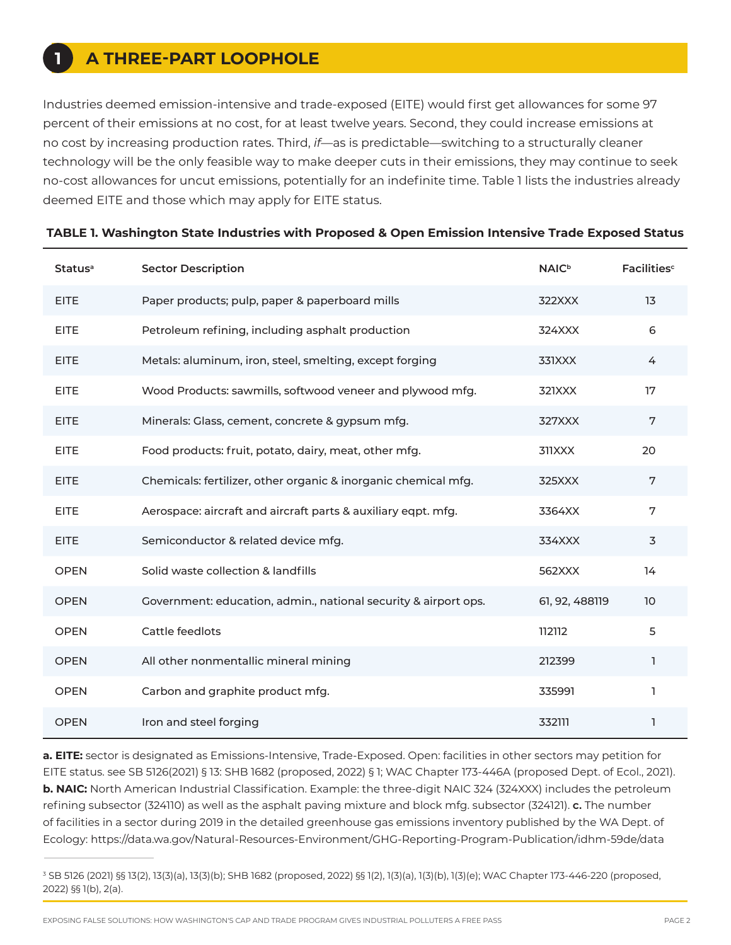## **A THREE-PART LOOPHOLE**

**1**

Industries deemed emission-intensive and trade-exposed (EITE) would first get allowances for some 97 percent of their emissions at no cost, for at least twelve years. Second, they could increase emissions at no cost by increasing production rates. Third, *if*—as is predictable—switching to a structurally cleaner technology will be the only feasible way to make deeper cuts in their emissions, they may continue to seek no-cost allowances for uncut emissions, potentially for an indefinite time. Table 1 lists the industries already deemed EITE and those which may apply for EITE status.

| Status <sup>a</sup> | <b>Sector Description</b>                                       | <b>NAIC</b> <sup>b</sup> | Facilities <sup>c</sup> |
|---------------------|-----------------------------------------------------------------|--------------------------|-------------------------|
| <b>EITE</b>         | Paper products; pulp, paper & paperboard mills                  | 322XXX                   | 13                      |
| <b>EITE</b>         | Petroleum refining, including asphalt production                | 324XXX                   | 6                       |
| <b>EITE</b>         | Metals: aluminum, iron, steel, smelting, except forging         | 331XXX                   | $\overline{4}$          |
| <b>EITE</b>         | Wood Products: sawmills, softwood veneer and plywood mfg.       | 321XXX                   | 17                      |
| <b>EITE</b>         | Minerals: Glass, cement, concrete & gypsum mfg.                 | 327XXX                   | 7                       |
| <b>EITE</b>         | Food products: fruit, potato, dairy, meat, other mfg.           | 311XXX                   | 20                      |
| <b>EITE</b>         | Chemicals: fertilizer, other organic & inorganic chemical mfg.  | 325XXX                   | 7                       |
| <b>EITE</b>         | Aerospace: aircraft and aircraft parts & auxiliary eqpt. mfg.   | 3364XX                   | 7                       |
| <b>EITE</b>         | Semiconductor & related device mfg.                             | 334XXX                   | 3                       |
| <b>OPEN</b>         | Solid waste collection & landfills                              | 562XXX                   | 14                      |
| <b>OPEN</b>         | Government: education, admin., national security & airport ops. | 61, 92, 488119           | 10                      |
| <b>OPEN</b>         | Cattle feedlots                                                 | 112112                   | 5                       |
| <b>OPEN</b>         | All other nonmentallic mineral mining                           | 212399                   | 1                       |
| <b>OPEN</b>         | Carbon and graphite product mfg.                                | 335991                   | 1                       |
| <b>OPEN</b>         | Iron and steel forging                                          | 332111                   | 1                       |

#### **TABLE 1. Washington State Industries with Proposed & Open Emission Intensive Trade Exposed Status**

**a. EITE:** sector is designated as Emissions-Intensive, Trade-Exposed. Open: facilities in other sectors may petition for EITE status. see SB 5126(2021) § 13: SHB 1682 (proposed, 2022) § 1; WAC Chapter 173-446A (proposed Dept. of Ecol., 2021). **b. NAIC:** North American Industrial Classification. Example: the three-digit NAIC 324 (324XXX) includes the petroleum refining subsector (324110) as well as the asphalt paving mixture and block mfg. subsector (324121). **c.** The number of facilities in a sector during 2019 in the detailed greenhouse gas emissions inventory published by the WA Dept. of Ecology: https://data.wa.gov/Natural-Resources-Environment/GHG-Reporting-Program-Publication/idhm-59de/data

<sup>3</sup> SB 5126 (2021) §§ 13(2), 13(3)(a), 13(3)(b); SHB 1682 (proposed, 2022) §§ 1(2), 1(3)(a), 1(3)(b), 1(3)(e); WAC Chapter 173-446-220 (proposed, 2022) §§ 1(b), 2(a).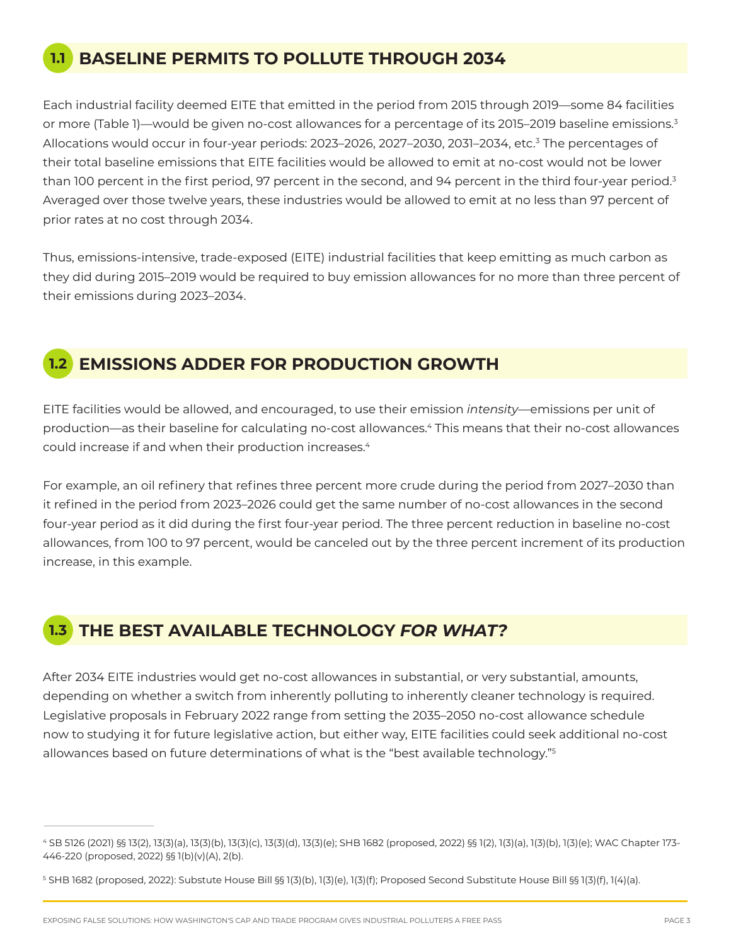# **1.1 BASELINE PERMITS TO POLLUTE THROUGH 2034**

Each industrial facility deemed EITE that emitted in the period from 2015 through 2019—some 84 facilities or more (Table 1)—would be given no-cost allowances for a percentage of its 2015–2019 baseline emissions.<sup>3</sup> Allocations would occur in four-year periods: 2023–2026, 2027–2030, 2031–2034, etc.3 The percentages of their total baseline emissions that EITE facilities would be allowed to emit at no-cost would not be lower than 100 percent in the first period, 97 percent in the second, and 94 percent in the third four-year period.<sup>3</sup> Averaged over those twelve years, these industries would be allowed to emit at no less than 97 percent of prior rates at no cost through 2034.

Thus, emissions-intensive, trade-exposed (EITE) industrial facilities that keep emitting as much carbon as they did during 2015–2019 would be required to buy emission allowances for no more than three percent of their emissions during 2023–2034.

## **1.2 EMISSIONS ADDER FOR PRODUCTION GROWTH**

EITE facilities would be allowed, and encouraged, to use their emission *intensity*—emissions per unit of production—as their baseline for calculating no-cost allowances.4 This means that their no-cost allowances could increase if and when their production increases.4

For example, an oil refinery that refines three percent more crude during the period from 2027–2030 than it refined in the period from 2023–2026 could get the same number of no-cost allowances in the second four-year period as it did during the first four-year period. The three percent reduction in baseline no-cost allowances, from 100 to 97 percent, would be canceled out by the three percent increment of its production increase, in this example.

# **1.3 THE BEST AVAILABLE TECHNOLOGY** *FOR WHAT?*

After 2034 EITE industries would get no-cost allowances in substantial, or very substantial, amounts, depending on whether a switch from inherently polluting to inherently cleaner technology is required. Legislative proposals in February 2022 range from setting the 2035–2050 no-cost allowance schedule now to studying it for future legislative action, but either way, EITE facilities could seek additional no-cost allowances based on future determinations of what is the "best available technology."5

<sup>4</sup> SB 5126 (2021) §§ 13(2), 13(3)(a), 13(3)(b), 13(3)(c), 13(3)(d), 13(3)(e); SHB 1682 (proposed, 2022) §§ 1(2), 1(3)(a), 1(3)(b), 1(3)(e); WAC Chapter 173- 446-220 (proposed, 2022) §§ 1(b)(v)(A), 2(b).

<sup>5</sup> SHB 1682 (proposed, 2022): Substute House Bill §§ 1(3)(b), 1(3)(e), 1(3)(f); Proposed Second Substitute House Bill §§ 1(3)(f), 1(4)(a).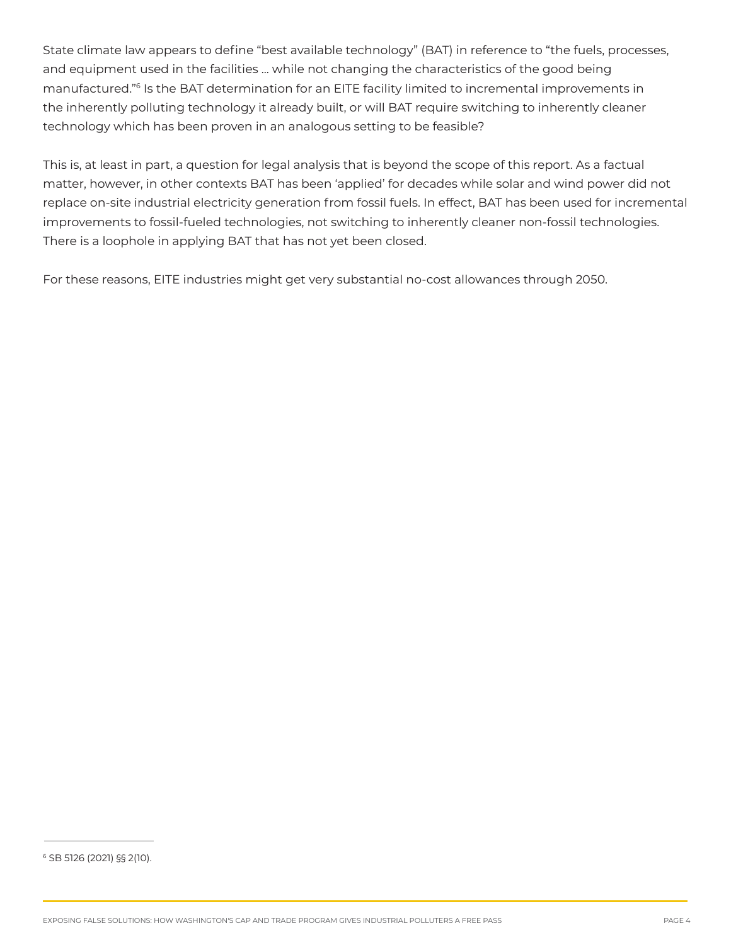State climate law appears to define "best available technology" (BAT) in reference to "the fuels, processes, and equipment used in the facilities ... while not changing the characteristics of the good being manufactured."6 Is the BAT determination for an EITE facility limited to incremental improvements in the inherently polluting technology it already built, or will BAT require switching to inherently cleaner technology which has been proven in an analogous setting to be feasible?

This is, at least in part, a question for legal analysis that is beyond the scope of this report. As a factual matter, however, in other contexts BAT has been 'applied' for decades while solar and wind power did not replace on-site industrial electricity generation from fossil fuels. In effect, BAT has been used for incremental improvements to fossil-fueled technologies, not switching to inherently cleaner non-fossil technologies. There is a loophole in applying BAT that has not yet been closed.

For these reasons, EITE industries might get very substantial no-cost allowances through 2050.

<sup>6</sup> SB 5126 (2021) §§ 2(10).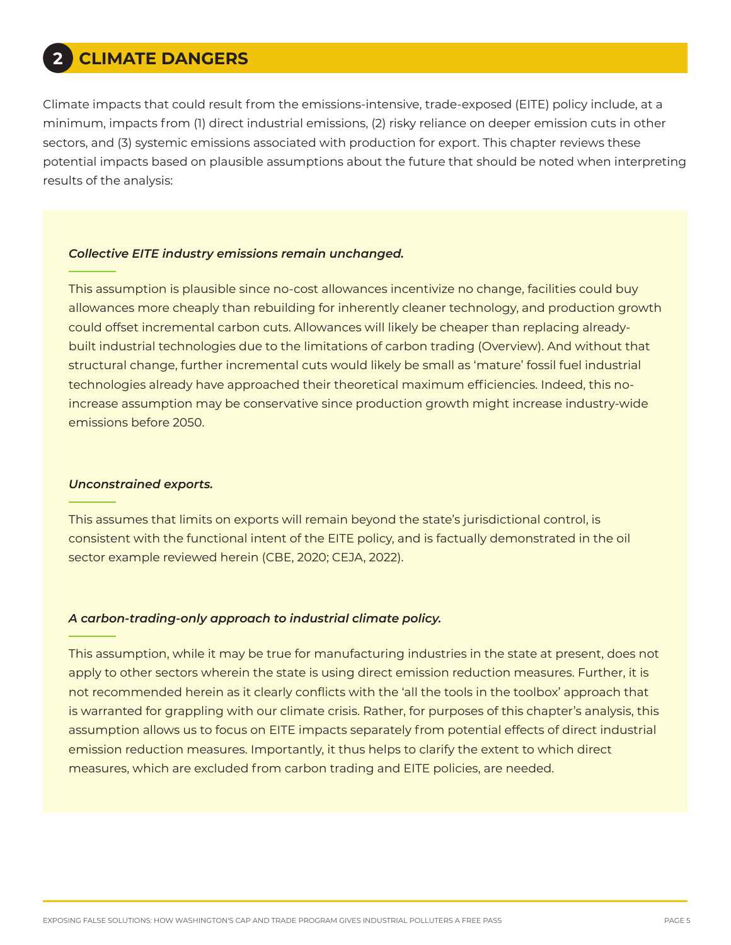# **2 CLIMATE DANGERS**

Climate impacts that could result from the emissions-intensive, trade-exposed (EITE) policy include, at a minimum, impacts from (1) direct industrial emissions, (2) risky reliance on deeper emission cuts in other sectors, and (3) systemic emissions associated with production for export. This chapter reviews these potential impacts based on plausible assumptions about the future that should be noted when interpreting results of the analysis:

### *Collective EITE industry emissions remain unchanged.*

This assumption is plausible since no-cost allowances incentivize no change, facilities could buy allowances more cheaply than rebuilding for inherently cleaner technology, and production growth could offset incremental carbon cuts. Allowances will likely be cheaper than replacing alreadybuilt industrial technologies due to the limitations of carbon trading (Overview). And without that structural change, further incremental cuts would likely be small as 'mature' fossil fuel industrial technologies already have approached their theoretical maximum efficiencies. Indeed, this noincrease assumption may be conservative since production growth might increase industry-wide emissions before 2050.

#### *Unconstrained exports.*

This assumes that limits on exports will remain beyond the state's jurisdictional control, is consistent with the functional intent of the EITE policy, and is factually demonstrated in the oil sector example reviewed herein (CBE, 2020; CEJA, 2022).

#### *A carbon-trading-only approach to industrial climate policy.*

This assumption, while it may be true for manufacturing industries in the state at present, does not apply to other sectors wherein the state is using direct emission reduction measures. Further, it is not recommended herein as it clearly conflicts with the 'all the tools in the toolbox' approach that is warranted for grappling with our climate crisis. Rather, for purposes of this chapter's analysis, this assumption allows us to focus on EITE impacts separately from potential effects of direct industrial emission reduction measures. Importantly, it thus helps to clarify the extent to which direct measures, which are excluded from carbon trading and EITE policies, are needed.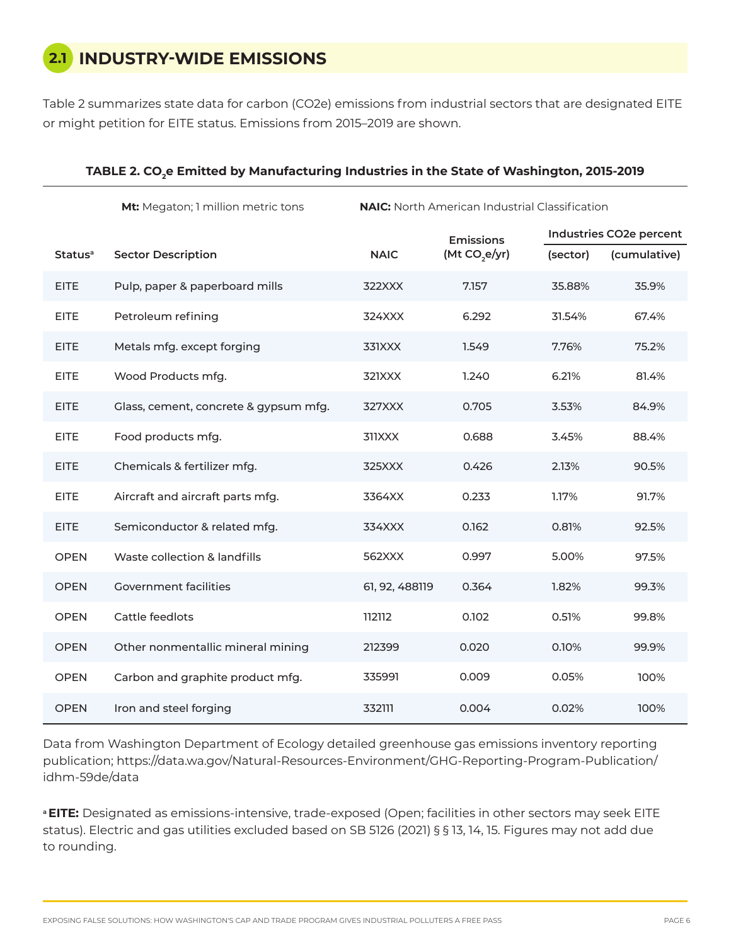# **2.1 INDUSTRY-WIDE EMISSIONS**

Table 2 summarizes state data for carbon (CO2e) emissions from industrial sectors that are designated EITE or might petition for EITE status. Emissions from 2015–2019 are shown.

|                     | Mt: Megaton; 1 million metric tons    | <b>NAIC:</b> North American Industrial Classification |                           |                         |              |
|---------------------|---------------------------------------|-------------------------------------------------------|---------------------------|-------------------------|--------------|
|                     |                                       |                                                       | <b>Emissions</b>          | Industries CO2e percent |              |
| Status <sup>a</sup> | <b>Sector Description</b>             | <b>NAIC</b>                                           | (Mt CO <sub>2</sub> e/yr) | (sector)                | (cumulative) |
| <b>EITE</b>         | Pulp, paper & paperboard mills        | 322XXX                                                | 7.157                     | 35.88%                  | 35.9%        |
| <b>EITE</b>         | Petroleum refining                    | 324XXX                                                | 6.292                     | 31.54%                  | 67.4%        |
| <b>EITE</b>         | Metals mfg. except forging            | 331XXX                                                | 1.549                     | 7.76%                   | 75.2%        |
| <b>EITE</b>         | Wood Products mfg.                    | 321XXX                                                | 1.240                     | 6.21%                   | 81.4%        |
| <b>EITE</b>         | Glass, cement, concrete & gypsum mfg. | 327XXX                                                | 0.705                     | 3.53%                   | 84.9%        |
| <b>EITE</b>         | Food products mfg.                    | 311XXX                                                | 0.688                     | 3.45%                   | 88.4%        |
| <b>EITE</b>         | Chemicals & fertilizer mfg.           | 325XXX                                                | 0.426                     | 2.13%                   | 90.5%        |
| <b>EITE</b>         | Aircraft and aircraft parts mfg.      | 3364XX                                                | 0.233                     | 1.17%                   | 91.7%        |
| <b>EITE</b>         | Semiconductor & related mfg.          | 334XXX                                                | 0.162                     | 0.81%                   | 92.5%        |
| <b>OPEN</b>         | Waste collection & landfills          | 562XXX                                                | 0.997                     | 5.00%                   | 97.5%        |
| <b>OPEN</b>         | <b>Government facilities</b>          | 61, 92, 488119                                        | 0.364                     | 1.82%                   | 99.3%        |
| <b>OPEN</b>         | Cattle feedlots                       | 112112                                                | 0.102                     | 0.51%                   | 99.8%        |
| <b>OPEN</b>         | Other nonmentallic mineral mining     | 212399                                                | 0.020                     | 0.10%                   | 99.9%        |
| <b>OPEN</b>         | Carbon and graphite product mfg.      | 335991                                                | 0.009                     | 0.05%                   | 100%         |
| <b>OPEN</b>         | Iron and steel forging                | 332111                                                | 0.004                     | 0.02%                   | 100%         |

#### TABLE 2. CO<sub>2</sub>e Emitted by Manufacturing Industries in the State of Washington, 2015-2019

Data from Washington Department of Ecology detailed greenhouse gas emissions inventory reporting publication; https://data.wa.gov/Natural-Resources-Environment/GHG-Reporting-Program-Publication/ idhm-59de/data

**<sup>a</sup>EITE:** Designated as emissions-intensive, trade-exposed (Open; facilities in other sectors may seek EITE status). Electric and gas utilities excluded based on SB 5126 (2021) § § 13, 14, 15. Figures may not add due to rounding.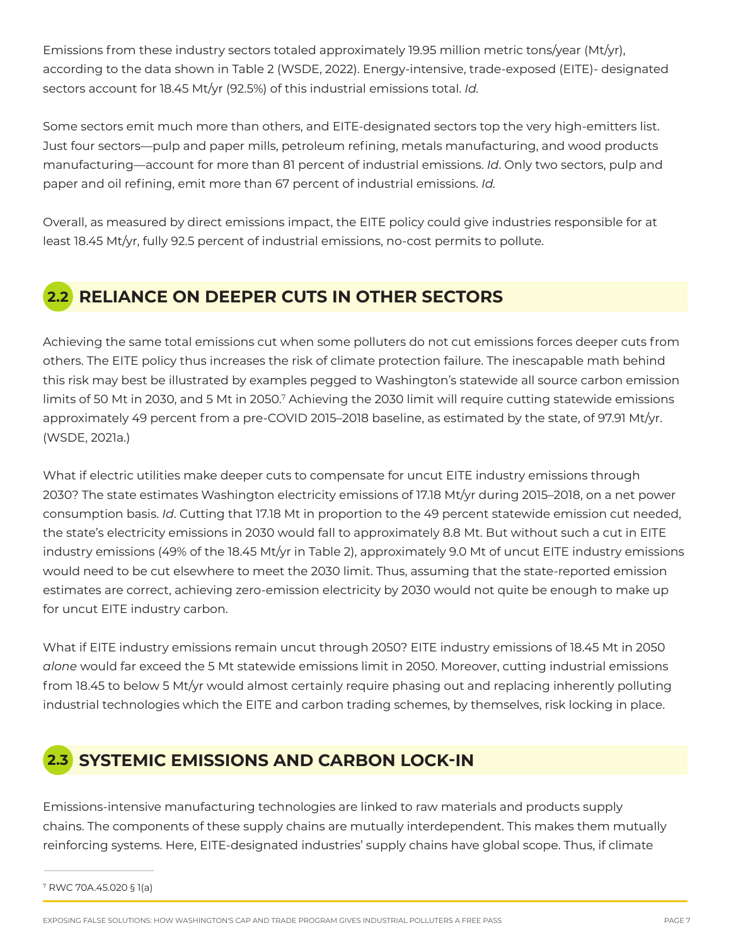Emissions from these industry sectors totaled approximately 19.95 million metric tons/year (Mt/yr), according to the data shown in Table 2 (WSDE, 2022). Energy-intensive, trade-exposed (EITE)- designated sectors account for 18.45 Mt/yr (92.5%) of this industrial emissions total. *Id.*

Some sectors emit much more than others, and EITE-designated sectors top the very high-emitters list. Just four sectors—pulp and paper mills, petroleum refining, metals manufacturing, and wood products manufacturing—account for more than 81 percent of industrial emissions. *Id*. Only two sectors, pulp and paper and oil refining, emit more than 67 percent of industrial emissions. *Id.*

Overall, as measured by direct emissions impact, the EITE policy could give industries responsible for at least 18.45 Mt/yr, fully 92.5 percent of industrial emissions, no-cost permits to pollute.

# **2.2 RELIANCE ON DEEPER CUTS IN OTHER SECTORS**

Achieving the same total emissions cut when some polluters do not cut emissions forces deeper cuts from others. The EITE policy thus increases the risk of climate protection failure. The inescapable math behind this risk may best be illustrated by examples pegged to Washington's statewide all source carbon emission limits of 50 Mt in 2030, and 5 Mt in 2050.7 Achieving the 2030 limit will require cutting statewide emissions approximately 49 percent from a pre-COVID 2015–2018 baseline, as estimated by the state, of 97.91 Mt/yr. (WSDE, 2021a.)

What if electric utilities make deeper cuts to compensate for uncut EITE industry emissions through 2030? The state estimates Washington electricity emissions of 17.18 Mt/yr during 2015–2018, on a net power consumption basis. *Id*. Cutting that 17.18 Mt in proportion to the 49 percent statewide emission cut needed, the state's electricity emissions in 2030 would fall to approximately 8.8 Mt. But without such a cut in EITE industry emissions (49% of the 18.45 Mt/yr in Table 2), approximately 9.0 Mt of uncut EITE industry emissions would need to be cut elsewhere to meet the 2030 limit. Thus, assuming that the state-reported emission estimates are correct, achieving zero-emission electricity by 2030 would not quite be enough to make up for uncut EITE industry carbon.

What if EITE industry emissions remain uncut through 2050? EITE industry emissions of 18.45 Mt in 2050 *alone* would far exceed the 5 Mt statewide emissions limit in 2050. Moreover, cutting industrial emissions from 18.45 to below 5 Mt/yr would almost certainly require phasing out and replacing inherently polluting industrial technologies which the EITE and carbon trading schemes, by themselves, risk locking in place.

# **2.3 SYSTEMIC EMISSIONS AND CARBON LOCK-IN**

Emissions-intensive manufacturing technologies are linked to raw materials and products supply chains. The components of these supply chains are mutually interdependent. This makes them mutually reinforcing systems. Here, EITE-designated industries' supply chains have global scope. Thus, if climate

<sup>7</sup> RWC 70A.45.020 § 1(a)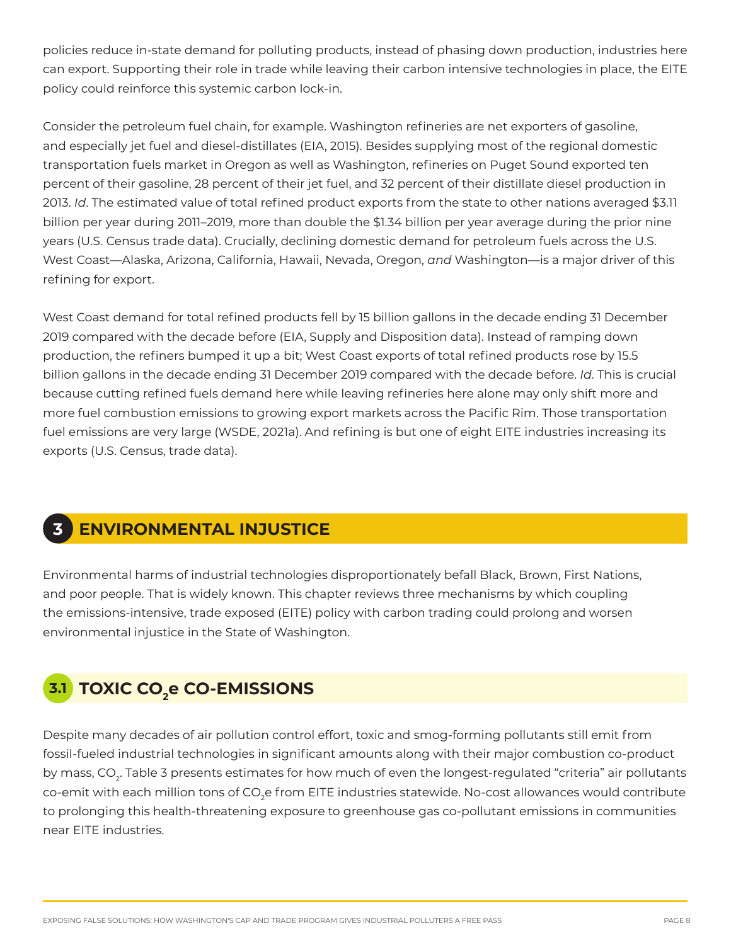policies reduce in-state demand for polluting products, instead of phasing down production, industries here can export. Supporting their role in trade while leaving their carbon intensive technologies in place, the EITE policy could reinforce this systemic carbon lock-in.

Consider the petroleum fuel chain, for example. Washington refineries are net exporters of gasoline, and especially jet fuel and diesel-distillates (EIA, 2015). Besides supplying most of the regional domestic transportation fuels market in Oregon as well as Washington, refineries on Puget Sound exported ten percent of their gasoline, 28 percent of their jet fuel, and 32 percent of their distillate diesel production in 2013. *Id*. The estimated value of total refined product exports from the state to other nations averaged \$3.11 billion per year during 2011–2019, more than double the \$1.34 billion per year average during the prior nine years (U.S. Census trade data). Crucially, declining domestic demand for petroleum fuels across the U.S. West Coast—Alaska, Arizona, California, Hawaii, Nevada, Oregon, *and* Washington—is a major driver of this refining for export.

West Coast demand for total refined products fell by 15 billion gallons in the decade ending 31 December 2019 compared with the decade before (EIA, Supply and Disposition data). Instead of ramping down production, the refiners bumped it up a bit; West Coast exports of total refined products rose by 15.5 billion gallons in the decade ending 31 December 2019 compared with the decade before. *Id*. This is crucial because cutting refined fuels demand here while leaving refineries here alone may only shift more and more fuel combustion emissions to growing export markets across the Pacific Rim. Those transportation fuel emissions are very large (WSDE, 2021a). And refining is but one of eight EITE industries increasing its exports (U.S. Census, trade data).

# **3 ENVIRONMENTAL INJUSTICE**

Environmental harms of industrial technologies disproportionately befall Black, Brown, First Nations, and poor people. That is widely known. This chapter reviews three mechanisms by which coupling the emissions-intensive, trade exposed (EITE) policy with carbon trading could prolong and worsen environmental injustice in the State of Washington.

# **TOXIC CO2 3.1 e CO-EMISSIONS**

Despite many decades of air pollution control effort, toxic and smog-forming pollutants still emit from fossil-fueled industrial technologies in significant amounts along with their major combustion co-product by mass, CO<sub>2</sub>. Table 3 presents estimates for how much of even the longest-regulated "criteria" air pollutants co-emit with each million tons of CO<sub>2</sub>e from EITE industries statewide. No-cost allowances would contribute to prolonging this health-threatening exposure to greenhouse gas co-pollutant emissions in communities near EITE industries.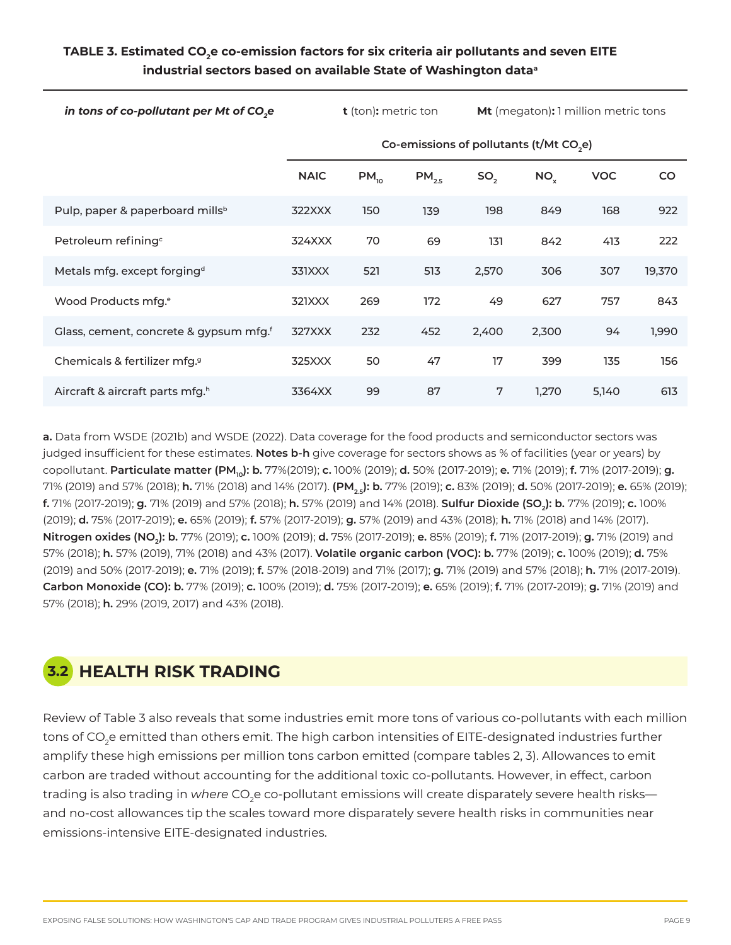## **TABLE 3. Estimated CO2e co-emission factors for six criteria air pollutants and seven EITE industrial sectors based on available State of Washington dataa**

*in tons of co-pollutant per Mt of CO<sub>2</sub>e* **t** (ton): metric ton **Mt** (megaton): 1 million metric tons

|                                                    | Co-emissions of pollutants (t/Mt CO <sub>2</sub> e) |           |            |                 |                 |            |        |
|----------------------------------------------------|-----------------------------------------------------|-----------|------------|-----------------|-----------------|------------|--------|
|                                                    | <b>NAIC</b>                                         | $PM_{10}$ | $PM_{2.5}$ | SO <sub>2</sub> | NO <sub>x</sub> | <b>VOC</b> | CO.    |
| Pulp, paper & paperboard mills <sup>b</sup>        | 322XXX                                              | 150       | 139        | 198             | 849             | 168        | 922    |
| Petroleum refining <sup>c</sup>                    | 324XXX                                              | 70        | 69         | 131             | 842             | 413        | 222    |
| Metals mfg. except forging <sup>d</sup>            | 331XXX                                              | 521       | 513        | 2,570           | 306             | 307        | 19,370 |
| Wood Products mfg. <sup>e</sup>                    | 321XXX                                              | 269       | 172        | 49              | 627             | 757        | 843    |
| Glass, cement, concrete & gypsum mfg. <sup>f</sup> | 327XXX                                              | 232       | 452        | 2,400           | 2,300           | 94         | 1,990  |
| Chemicals & fertilizer mfg. <sup>9</sup>           | 325XXX                                              | 50        | 47         | 17              | 399             | 135        | 156    |
| Aircraft & aircraft parts mfg. <sup>h</sup>        | 3364XX                                              | 99        | 87         | 7               | 1.270           | 5,140      | 613    |

**a.** Data from WSDE (2021b) and WSDE (2022). Data coverage for the food products and semiconductor sectors was judged insufficient for these estimates. **Notes b-h** give coverage for sectors shows as % of facilities (year or years) by copollutant. **Particulate matter (PM<sub>10</sub>): b.** 77%(2019); **c.** 100% (2019); **d.** 50% (2017-2019); **e.** 71% (2019); **f.** 71% (2017-2019); **g.** 71% (2019) and 57% (2018); **h.** 71% (2018) and 14% (2017). **(PM2.5): b.** 77% (2019); **c.** 83% (2019); **d.** 50% (2017-2019); **e.** 65% (2019); **f.** 71% (2017-2019); **g.** 71% (2019) and 57% (2018); **h.** 57% (2019) and 14% (2018). **Sulfur Dioxide (SO2): b.** 77% (2019); **c.** 100% (2019); **d.** 75% (2017-2019); **e.** 65% (2019); **f.** 57% (2017-2019); **g.** 57% (2019) and 43% (2018); **h.** 71% (2018) and 14% (2017). **Nitrogen oxides (NO2): b.** 77% (2019); **c.** 100% (2019); **d.** 75% (2017-2019); **e.** 85% (2019); **f.** 71% (2017-2019); **g.** 71% (2019) and 57% (2018); **h.** 57% (2019), 71% (2018) and 43% (2017). **Volatile organic carbon (VOC): b.** 77% (2019); **c.** 100% (2019); **d.** 75% (2019) and 50% (2017-2019); **e.** 71% (2019); **f.** 57% (2018-2019) and 71% (2017); **g.** 71% (2019) and 57% (2018); **h.** 71% (2017-2019). **Carbon Monoxide (CO): b.** 77% (2019); **c.** 100% (2019); **d.** 75% (2017-2019); **e.** 65% (2019); **f.** 71% (2017-2019); **g.** 71% (2019) and 57% (2018); **h.** 29% (2019, 2017) and 43% (2018).

# **3.2 HEALTH RISK TRADING**

Review of Table 3 also reveals that some industries emit more tons of various co-pollutants with each million tons of CO<sub>2</sub>e emitted than others emit. The high carbon intensities of EITE-designated industries further amplify these high emissions per million tons carbon emitted (compare tables 2, 3). Allowances to emit carbon are traded without accounting for the additional toxic co-pollutants. However, in effect, carbon trading is also trading in *where* CO<sub>2</sub>e co-pollutant emissions will create disparately severe health risks and no-cost allowances tip the scales toward more disparately severe health risks in communities near emissions-intensive EITE-designated industries.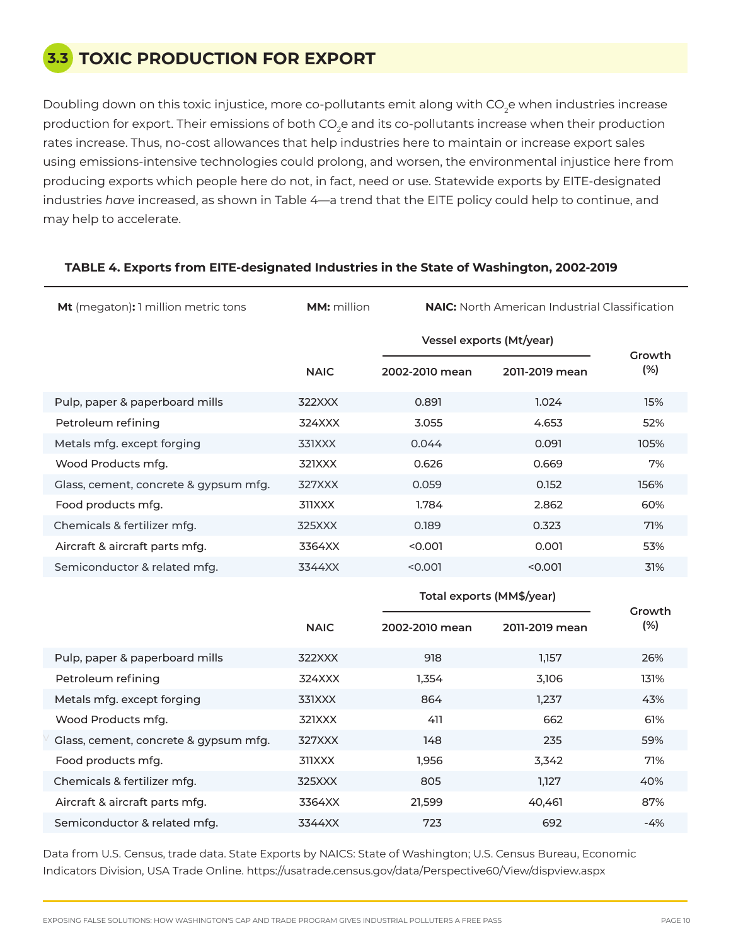## **3.3 TOXIC PRODUCTION FOR EXPORT**

Doubling down on this toxic injustice, more co-pollutants emit along with CO<sub>2</sub>e when industries increase production for export. Their emissions of both CO<sub>2</sub>e and its co-pollutants increase when their production rates increase. Thus, no-cost allowances that help industries here to maintain or increase export sales using emissions-intensive technologies could prolong, and worsen, the environmental injustice here from producing exports which people here do not, in fact, need or use. Statewide exports by EITE-designated industries *have* increased, as shown in Table 4—a trend that the EITE policy could help to continue, and may help to accelerate.

| Mt (megaton): 1 million metric tons   | <b>MM:</b> million |                           | <b>NAIC:</b> North American Industrial Classification |               |  |
|---------------------------------------|--------------------|---------------------------|-------------------------------------------------------|---------------|--|
|                                       |                    | Vessel exports (Mt/year)  |                                                       | Growth        |  |
|                                       | <b>NAIC</b>        | 2002-2010 mean            | 2011-2019 mean                                        | (%)           |  |
| Pulp, paper & paperboard mills        | 322XXX             | 0.891                     | 1.024                                                 | 15%           |  |
| Petroleum refining                    | 324XXX             | 3.055                     | 4.653                                                 | 52%           |  |
| Metals mfg. except forging            | 331XXX             | 0.044                     | 0.091                                                 | 105%          |  |
| Wood Products mfg.                    | 321XXX             | 0.626                     | 0.669                                                 | 7%            |  |
| Glass, cement, concrete & gypsum mfg. | 327XXX             | 0.059                     | 0.152                                                 | 156%          |  |
| Food products mfg.                    | 311XXX             | 1.784                     | 2.862                                                 | 60%           |  |
| Chemicals & fertilizer mfg.           | 325XXX             | 0.189                     | 0.323                                                 | 71%           |  |
| Aircraft & aircraft parts mfg.        | 3364XX             | < 0.001                   | 0.001                                                 | 53%           |  |
| Semiconductor & related mfg.          | 3344XX             | < 0.001                   | < 0.001                                               | 31%           |  |
|                                       |                    | Total exports (MM\$/year) |                                                       |               |  |
|                                       | <b>NAIC</b>        | 2002-2010 mean            | 2011-2019 mean                                        | Growth<br>(%) |  |
| Pulp, paper & paperboard mills        | 322XXX             | 918                       | 1,157                                                 | 26%           |  |
| Petroleum refining                    | 324XXX             | 1,354                     | 3,106                                                 | 131%          |  |
| Metals mfg. except forging            | 331XXX             | 864                       | 1,237                                                 | 43%           |  |
| Wood Products mfg.                    | 321XXX             | 411                       | 662                                                   | 61%           |  |
| Glass, cement, concrete & gypsum mfg. | 327XXX             | 148                       | 235                                                   | 59%           |  |
| Food products mfg.                    | 311XXX             | 1,956                     | 3,342                                                 | 71%           |  |
| Chemicals & fertilizer mfg.           | 325XXX             | 805                       | 1,127                                                 | 40%           |  |

### **TABLE 4. Exports from EITE-designated Industries in the State of Washington, 2002-2019**

Data from U.S. Census, trade data. State Exports by NAICS: State of Washington; U.S. Census Bureau, Economic Indicators Division, USA Trade Online. https://usatrade.census.gov/data/Perspective60/View/dispview.aspx

21,599

723

40,461

692

3364XX

3344XX

Aircraft & aircraft parts mfg.

Semiconductor & related mfg.

87%

-4%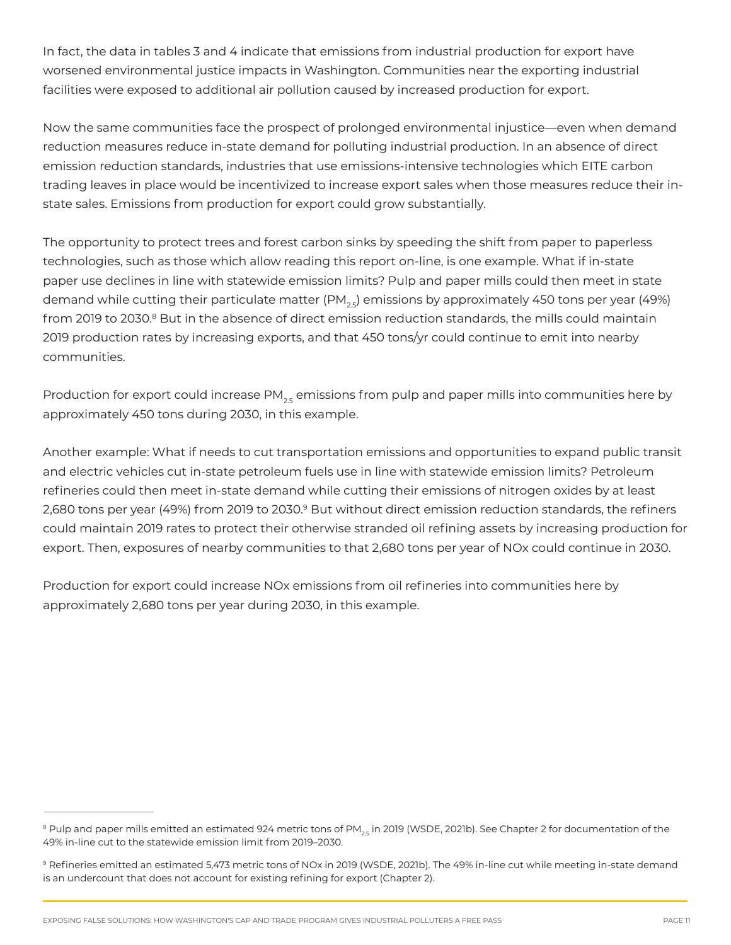In fact, the data in tables 3 and 4 indicate that emissions from industrial production for export have worsened environmental justice impacts in Washington. Communities near the exporting industrial facilities were exposed to additional air pollution caused by increased production for export.

Now the same communities face the prospect of prolonged environmental injustice—even when demand reduction measures reduce in-state demand for polluting industrial production. In an absence of direct emission reduction standards, industries that use emissions-intensive technologies which EITE carbon trading leaves in place would be incentivized to increase export sales when those measures reduce their instate sales. Emissions from production for export could grow substantially.

The opportunity to protect trees and forest carbon sinks by speeding the shift from paper to paperless technologies, such as those which allow reading this report on-line, is one example. What if in-state paper use declines in line with statewide emission limits? Pulp and paper mills could then meet in state demand while cutting their particulate matter  $(PM_{2s})$  emissions by approximately 450 tons per year (49%) from 2019 to 2030.<sup>8</sup> But in the absence of direct emission reduction standards, the mills could maintain 2019 production rates by increasing exports, and that 450 tons/yr could continue to emit into nearby communities.

Production for export could increase  $PM_{25}$  emissions from pulp and paper mills into communities here by approximately 450 tons during 2030, in this example.

Another example: What if needs to cut transportation emissions and opportunities to expand public transit and electric vehicles cut in-state petroleum fuels use in line with statewide emission limits? Petroleum refineries could then meet in-state demand while cutting their emissions of nitrogen oxides by at least 2,680 tons per year (49%) from 2019 to 2030.<sup>9</sup> But without direct emission reduction standards, the refiners could maintain 2019 rates to protect their otherwise stranded oil refining assets by increasing production for export. Then, exposures of nearby communities to that 2,680 tons per year of NOx could continue in 2030.

Production for export could increase NOx emissions from oil refineries into communities here by approximately 2,680 tons per year during 2030, in this example.

<sup>&</sup>lt;sup>8</sup> Pulp and paper mills emitted an estimated 924 metric tons of PM<sub>25</sub> in 2019 (WSDE, 2021b). See Chapter 2 for documentation of the 49% in-line cut to the statewide emission limit from 2019–2030.

<sup>9</sup> Refineries emitted an estimated 5,473 metric tons of NOx in 2019 (WSDE, 2021b). The 49% in-line cut while meeting in-state demand is an undercount that does not account for existing refining for export (Chapter 2).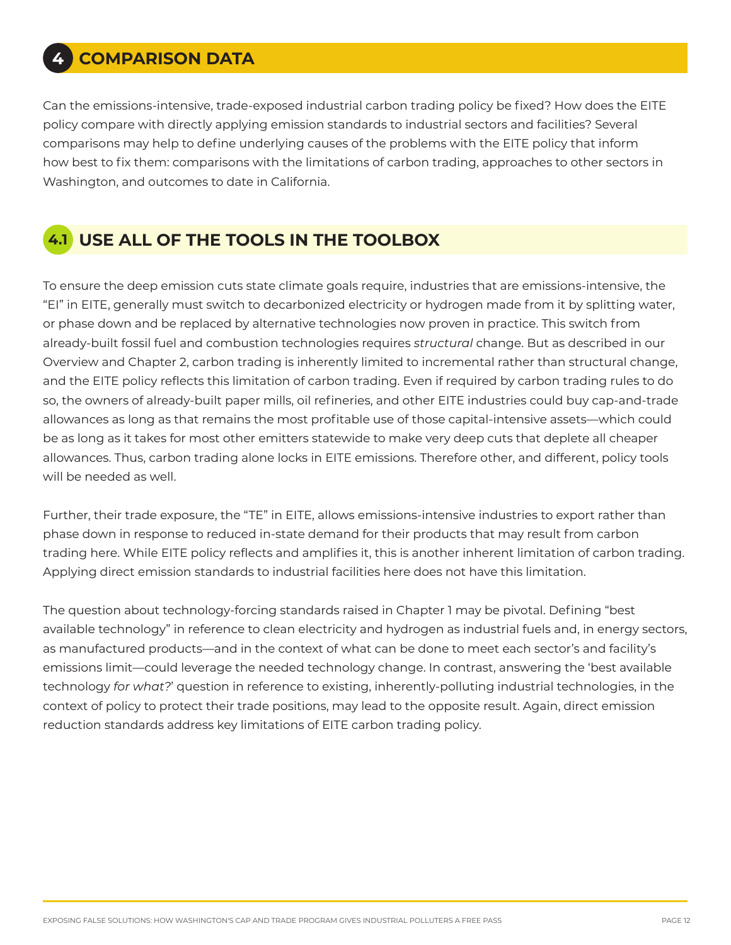Can the emissions-intensive, trade-exposed industrial carbon trading policy be fixed? How does the EITE policy compare with directly applying emission standards to industrial sectors and facilities? Several comparisons may help to define underlying causes of the problems with the EITE policy that inform how best to fix them: comparisons with the limitations of carbon trading, approaches to other sectors in Washington, and outcomes to date in California.

# **4.1 USE ALL OF THE TOOLS IN THE TOOLBOX**

To ensure the deep emission cuts state climate goals require, industries that are emissions-intensive, the "EI" in EITE, generally must switch to decarbonized electricity or hydrogen made from it by splitting water, or phase down and be replaced by alternative technologies now proven in practice. This switch from already-built fossil fuel and combustion technologies requires *structural* change. But as described in our Overview and Chapter 2, carbon trading is inherently limited to incremental rather than structural change, and the EITE policy reflects this limitation of carbon trading. Even if required by carbon trading rules to do so, the owners of already-built paper mills, oil refineries, and other EITE industries could buy cap-and-trade allowances as long as that remains the most profitable use of those capital-intensive assets—which could be as long as it takes for most other emitters statewide to make very deep cuts that deplete all cheaper allowances. Thus, carbon trading alone locks in EITE emissions. Therefore other, and different, policy tools will be needed as well.

Further, their trade exposure, the "TE" in EITE, allows emissions-intensive industries to export rather than phase down in response to reduced in-state demand for their products that may result from carbon trading here. While EITE policy reflects and amplifies it, this is another inherent limitation of carbon trading. Applying direct emission standards to industrial facilities here does not have this limitation.

The question about technology-forcing standards raised in Chapter 1 may be pivotal. Defining "best available technology" in reference to clean electricity and hydrogen as industrial fuels and, in energy sectors, as manufactured products—and in the context of what can be done to meet each sector's and facility's emissions limit—could leverage the needed technology change. In contrast, answering the 'best available technology *for what?*' question in reference to existing, inherently-polluting industrial technologies, in the context of policy to protect their trade positions, may lead to the opposite result. Again, direct emission reduction standards address key limitations of EITE carbon trading policy.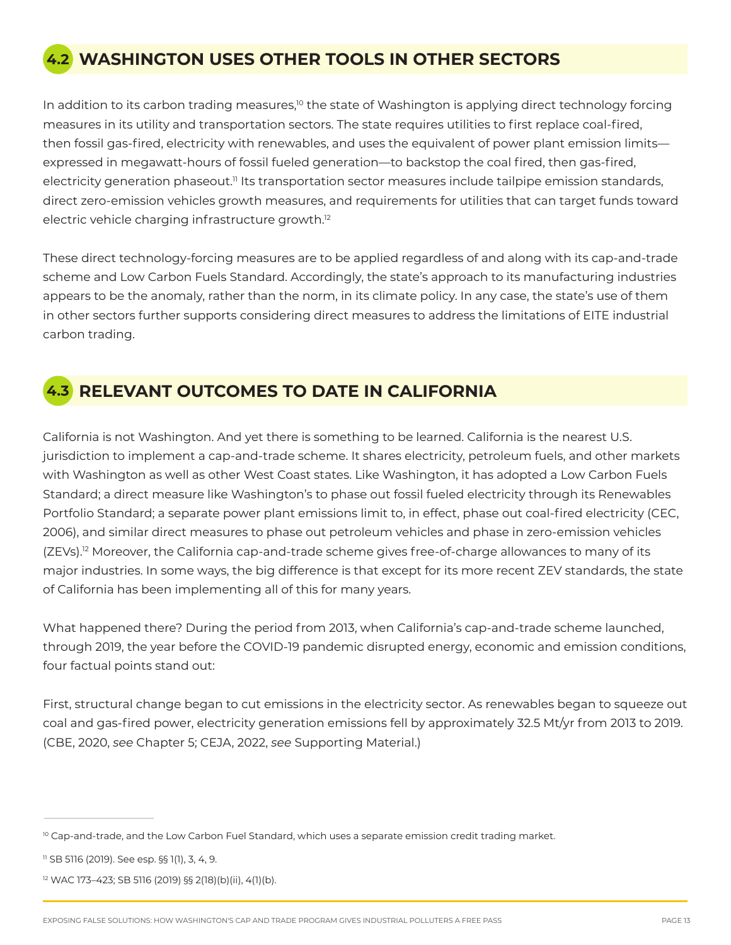# **4.2 WASHINGTON USES OTHER TOOLS IN OTHER SECTORS**

In addition to its carbon trading measures,<sup>10</sup> the state of Washington is applying direct technology forcing measures in its utility and transportation sectors. The state requires utilities to first replace coal-fired, then fossil gas-fired, electricity with renewables, and uses the equivalent of power plant emission limits expressed in megawatt-hours of fossil fueled generation—to backstop the coal fired, then gas-fired, electricity generation phaseout.<sup>11</sup> Its transportation sector measures include tailpipe emission standards, direct zero-emission vehicles growth measures, and requirements for utilities that can target funds toward electric vehicle charging infrastructure growth.<sup>12</sup>

These direct technology-forcing measures are to be applied regardless of and along with its cap-and-trade scheme and Low Carbon Fuels Standard. Accordingly, the state's approach to its manufacturing industries appears to be the anomaly, rather than the norm, in its climate policy. In any case, the state's use of them in other sectors further supports considering direct measures to address the limitations of EITE industrial carbon trading.



# **4.3 RELEVANT OUTCOMES TO DATE IN CALIFORNIA**

California is not Washington. And yet there is something to be learned. California is the nearest U.S. jurisdiction to implement a cap-and-trade scheme. It shares electricity, petroleum fuels, and other markets with Washington as well as other West Coast states. Like Washington, it has adopted a Low Carbon Fuels Standard; a direct measure like Washington's to phase out fossil fueled electricity through its Renewables Portfolio Standard; a separate power plant emissions limit to, in effect, phase out coal-fired electricity (CEC, 2006), and similar direct measures to phase out petroleum vehicles and phase in zero-emission vehicles (ZEVs).12 Moreover, the California cap-and-trade scheme gives free-of-charge allowances to many of its major industries. In some ways, the big difference is that except for its more recent ZEV standards, the state of California has been implementing all of this for many years.

What happened there? During the period from 2013, when California's cap-and-trade scheme launched, through 2019, the year before the COVID-19 pandemic disrupted energy, economic and emission conditions, four factual points stand out:

First, structural change began to cut emissions in the electricity sector. As renewables began to squeeze out coal and gas-fired power, electricity generation emissions fell by approximately 32.5 Mt/yr from 2013 to 2019. (CBE, 2020, *see* Chapter 5; CEJA, 2022, *see* Supporting Material.)

<sup>&</sup>lt;sup>10</sup> Cap-and-trade, and the Low Carbon Fuel Standard, which uses a separate emission credit trading market.

<sup>11</sup> SB 5116 (2019). See esp. §§ 1(1), 3, 4, 9.

<sup>12</sup> WAC 173–423; SB 5116 (2019) §§ 2(18)(b)(ii), 4(1)(b).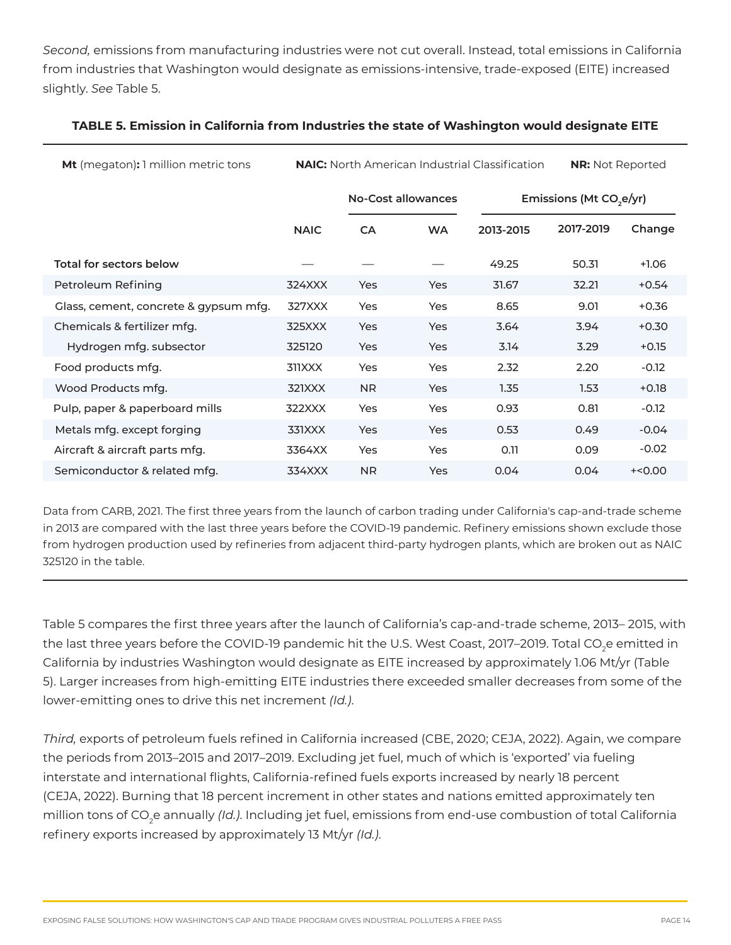*Second,* emissions from manufacturing industries were not cut overall. Instead, total emissions in California from industries that Washington would designate as emissions-intensive, trade-exposed (EITE) increased slightly. *See* Table 5.

| <b>Mt</b> (megaton): 1 million metric tons | <b>NAIC:</b> North American Industrial Classification |                    |            |           | <b>NR:</b> Not Reported             |          |
|--------------------------------------------|-------------------------------------------------------|--------------------|------------|-----------|-------------------------------------|----------|
|                                            |                                                       | No-Cost allowances |            |           | Emissions (Mt CO <sub>2</sub> e/yr) |          |
|                                            | <b>NAIC</b>                                           | <b>CA</b>          | <b>WA</b>  | 2013-2015 | 2017-2019                           | Change   |
| Total for sectors below                    |                                                       |                    |            | 49.25     | 50.31                               | $+1.06$  |
| Petroleum Refining                         | 324XXX                                                | Yes                | Yes        | 31.67     | 32.21                               | $+0.54$  |
| Glass, cement, concrete & gypsum mfg.      | 327XXX                                                | Yes                | Yes        | 8.65      | 9.01                                | $+0.36$  |
| Chemicals & fertilizer mfg.                | 325XXX                                                | Yes                | Yes        | 3.64      | 3.94                                | $+0.30$  |
| Hydrogen mfg. subsector                    | 325120                                                | Yes                | Yes        | 3.14      | 3.29                                | $+0.15$  |
| Food products mfg.                         | 311XXX                                                | Yes                | <b>Yes</b> | 2.32      | 2.20                                | $-0.12$  |
| Wood Products mfg.                         | 321XXX                                                | N <sub>R</sub>     | <b>Yes</b> | 1.35      | 1.53                                | $+0.18$  |
| Pulp, paper & paperboard mills             | 322XXX                                                | Yes                | Yes        | 0.93      | 0.81                                | $-0.12$  |
| Metals mfg. except forging                 | 331XXX                                                | Yes                | Yes        | 0.53      | 0.49                                | $-0.04$  |
| Aircraft & aircraft parts mfg.             | 3364XX                                                | Yes                | Yes        | 0.11      | 0.09                                | $-0.02$  |
| Semiconductor & related mfg.               | 334XXX                                                | <b>NR</b>          | Yes        | 0.04      | 0.04                                | $+<0.00$ |

## **TABLE 5. Emission in California from Industries the state of Washington would designate EITE**

Data from CARB, 2021. The first three years from the launch of carbon trading under California's cap-and-trade scheme in 2013 are compared with the last three years before the COVID-19 pandemic. Refinery emissions shown exclude those from hydrogen production used by refineries from adjacent third-party hydrogen plants, which are broken out as NAIC 325120 in the table.

Table 5 compares the first three years after the launch of California's cap-and-trade scheme, 2013– 2015, with the last three years before the COVID-19 pandemic hit the U.S. West Coast, 2017–2019. Total CO<sub>2</sub>e emitted in California by industries Washington would designate as EITE increased by approximately 1.06 Mt/yr (Table 5). Larger increases from high-emitting EITE industries there exceeded smaller decreases from some of the lower-emitting ones to drive this net increment *(Id.)*.

*Third,* exports of petroleum fuels refined in California increased (CBE, 2020; CEJA, 2022). Again, we compare the periods from 2013–2015 and 2017–2019. Excluding jet fuel, much of which is 'exported' via fueling interstate and international flights, California-refined fuels exports increased by nearly 18 percent (CEJA, 2022). Burning that 18 percent increment in other states and nations emitted approximately ten million tons of CO2 e annually *(Id.)*. Including jet fuel, emissions from end-use combustion of total California refinery exports increased by approximately 13 Mt/yr *(Id.)*.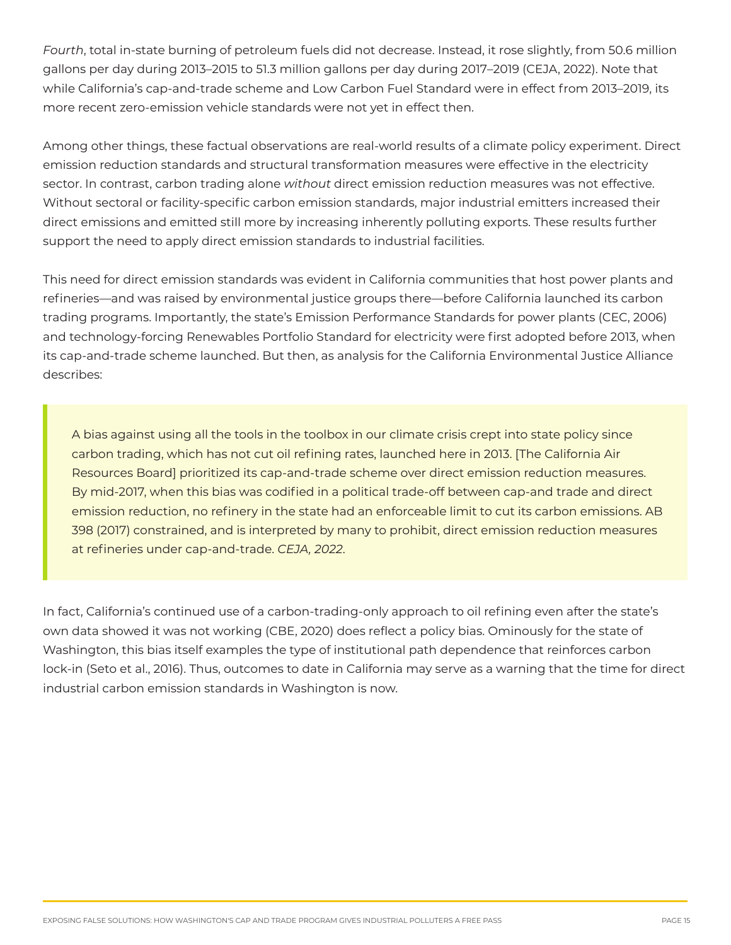*Fourth*, total in-state burning of petroleum fuels did not decrease. Instead, it rose slightly, from 50.6 million gallons per day during 2013–2015 to 51.3 million gallons per day during 2017–2019 (CEJA, 2022). Note that while California's cap-and-trade scheme and Low Carbon Fuel Standard were in effect from 2013–2019, its more recent zero-emission vehicle standards were not yet in effect then.

Among other things, these factual observations are real-world results of a climate policy experiment. Direct emission reduction standards and structural transformation measures were effective in the electricity sector. In contrast, carbon trading alone *without* direct emission reduction measures was not effective. Without sectoral or facility-specific carbon emission standards, major industrial emitters increased their direct emissions and emitted still more by increasing inherently polluting exports. These results further support the need to apply direct emission standards to industrial facilities.

This need for direct emission standards was evident in California communities that host power plants and refineries—and was raised by environmental justice groups there—before California launched its carbon trading programs. Importantly, the state's Emission Performance Standards for power plants (CEC, 2006) and technology-forcing Renewables Portfolio Standard for electricity were first adopted before 2013, when its cap-and-trade scheme launched. But then, as analysis for the California Environmental Justice Alliance describes:

A bias against using all the tools in the toolbox in our climate crisis crept into state policy since carbon trading, which has not cut oil refining rates, launched here in 2013. [The California Air Resources Board] prioritized its cap-and-trade scheme over direct emission reduction measures. By mid-2017, when this bias was codified in a political trade-off between cap-and trade and direct emission reduction, no refinery in the state had an enforceable limit to cut its carbon emissions. AB 398 (2017) constrained, and is interpreted by many to prohibit, direct emission reduction measures at refineries under cap-and-trade. *CEJA, 2022*.

In fact, California's continued use of a carbon-trading-only approach to oil refining even after the state's own data showed it was not working (CBE, 2020) does reflect a policy bias. Ominously for the state of Washington, this bias itself examples the type of institutional path dependence that reinforces carbon lock-in (Seto et al., 2016). Thus, outcomes to date in California may serve as a warning that the time for direct industrial carbon emission standards in Washington is now.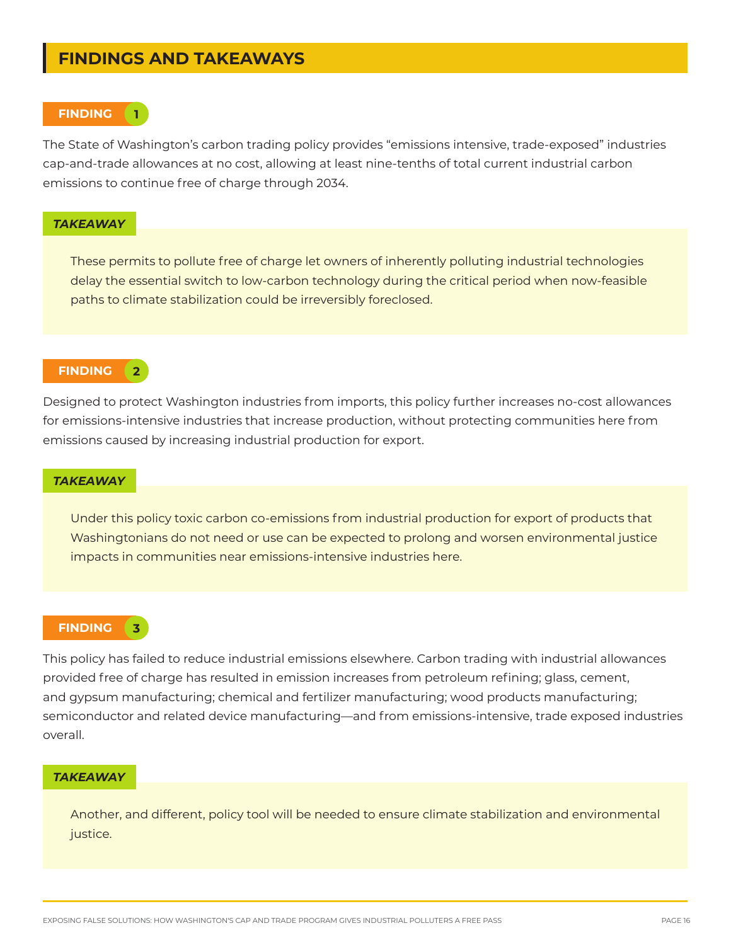## **FINDINGS AND TAKEAWAYS**

#### **FINDING 1**

The State of Washington's carbon trading policy provides "emissions intensive, trade-exposed" industries cap-and-trade allowances at no cost, allowing at least nine-tenths of total current industrial carbon emissions to continue free of charge through 2034.

#### *TAKEAWAY*

These permits to pollute free of charge let owners of inherently polluting industrial technologies delay the essential switch to low-carbon technology during the critical period when now-feasible paths to climate stabilization could be irreversibly foreclosed.

#### **FINDING**

**2**

Designed to protect Washington industries from imports, this policy further increases no-cost allowances for emissions-intensive industries that increase production, without protecting communities here from emissions caused by increasing industrial production for export.

### *TAKEAWAY*

Under this policy toxic carbon co-emissions from industrial production for export of products that Washingtonians do not need or use can be expected to prolong and worsen environmental justice impacts in communities near emissions-intensive industries here.

#### **FINDING**

**3**

This policy has failed to reduce industrial emissions elsewhere. Carbon trading with industrial allowances provided free of charge has resulted in emission increases from petroleum refining; glass, cement, and gypsum manufacturing; chemical and fertilizer manufacturing; wood products manufacturing; semiconductor and related device manufacturing—and from emissions-intensive, trade exposed industries overall.

#### *TAKEAWAY*

Another, and different, policy tool will be needed to ensure climate stabilization and environmental justice.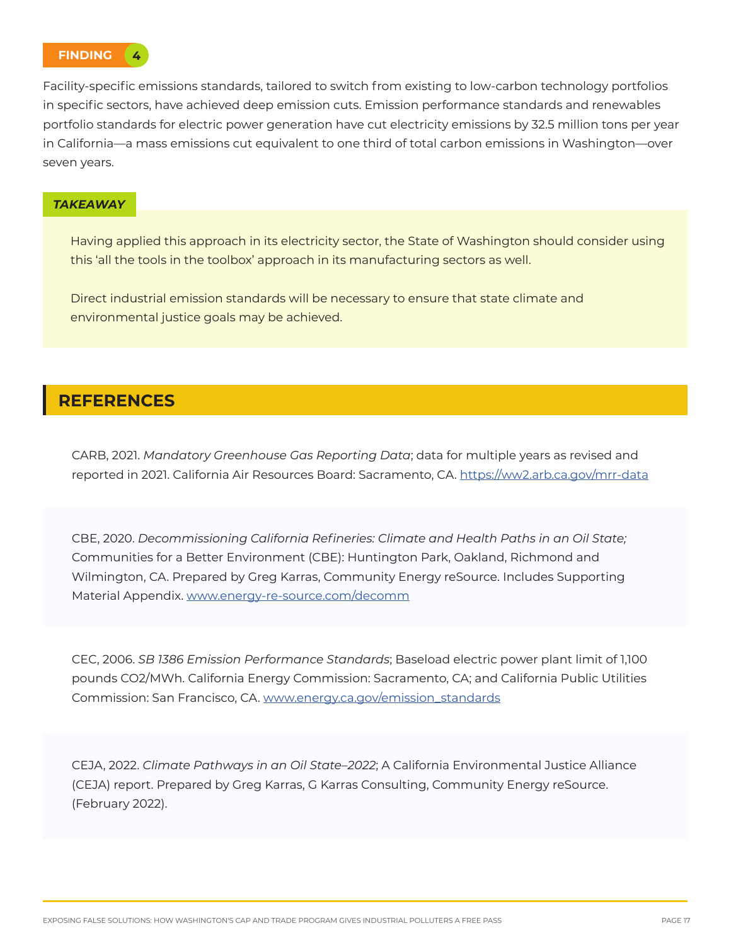

Facility-specific emissions standards, tailored to switch from existing to low-carbon technology portfolios in specific sectors, have achieved deep emission cuts. Emission performance standards and renewables portfolio standards for electric power generation have cut electricity emissions by 32.5 million tons per year in California—a mass emissions cut equivalent to one third of total carbon emissions in Washington—over seven years.

### *TAKEAWAY*

Having applied this approach in its electricity sector, the State of Washington should consider using this 'all the tools in the toolbox' approach in its manufacturing sectors as well.

Direct industrial emission standards will be necessary to ensure that state climate and environmental justice goals may be achieved.

## **REFERENCES**

CARB, 2021. *Mandatory Greenhouse Gas Reporting Data*; data for multiple years as revised and reported in 2021. California Air Resources Board: Sacramento, CA. https://ww2.arb.ca.gov/mrr-data

CBE, 2020. *Decommissioning California Refineries: Climate and Health Paths in an Oil State;*  Communities for a Better Environment (CBE): Huntington Park, Oakland, Richmond and Wilmington, CA. Prepared by Greg Karras, Community Energy reSource. Includes Supporting Material Appendix. www.energy-re-source.com/decomm

CEC, 2006. *SB 1386 Emission Performance Standards*; Baseload electric power plant limit of 1,100 pounds CO2/MWh. California Energy Commission: Sacramento, CA; and California Public Utilities Commission: San Francisco, CA. www.energy.ca.gov/emission\_standards

CEJA, 2022. *Climate Pathways in an Oil State–2022*; A California Environmental Justice Alliance (CEJA) report. Prepared by Greg Karras, G Karras Consulting, Community Energy reSource. (February 2022).